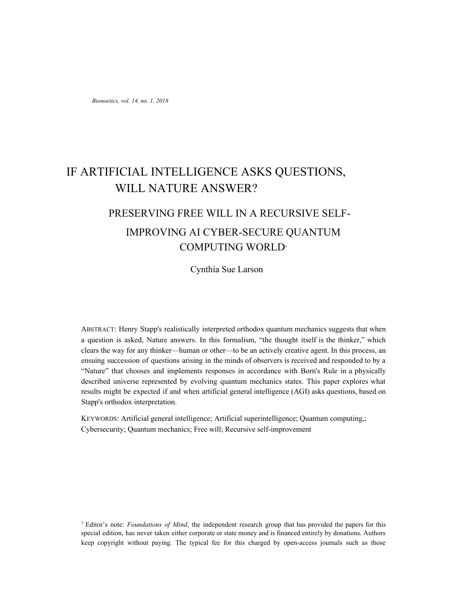*Bionoetics, vol. 14, no. 1, 2018*

# IF ARTIFICIAL INTELLIGENCE ASKS QUESTIONS, WILL NATURE ANSWER?

# PRESERVING FREE WILL IN A RECURSIVE SELF-IMPROVING AI CYBER-SECURE QUANTUM COMPUTING WORLD<sup>1</sup>

Cynthia Sue Larson

ABSTRACT: Henry Stapp's realistically interpreted orthodox quantum mechanics suggests that when a question is asked, Nature answers. In this formalism, "the thought itself is the thinker," which clears the way for any thinker—human or other—to be an actively creative agent. In this process, an ensuing succession of questions arising in the minds of observers is received and responded to by a "Nature" that chooses and implements responses in accordance with Born's Rule in a physically described universe represented by evolving quantum mechanics states. This paper explores what results might be expected if and when artificial general intelligence (AGI) asks questions, based on Stapp's orthodox interpretation.

KEYWORDS: Artificial general intelligence; Artificial superintelligence; Quantum computing,; Cybersecurity; Quantum mechanics; Free will; Recursive self-improvement

<sup>1</sup> Editor's note: *Foundations of Mind*, the independent research group that has provided the papers for this special edition, has never taken either corporate or state money and is financed entirely by donations. Authors keep copyright without paying. The typical fee for this charged by open-access journals such as those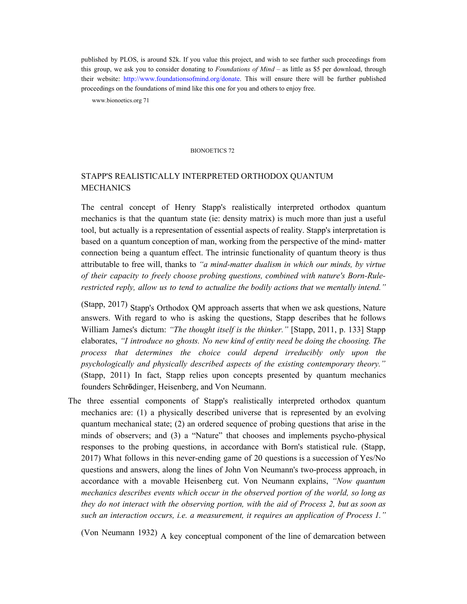published by PLOS, is around \$2k. If you value this project, and wish to see further such proceedings from this group, we ask you to consider donating to *Foundations of Mind* – as little as \$5 per download, through their website: http://www.foundationsofmind.org/donate. This will ensure there will be further published proceedings on the foundations of mind like this one for you and others to enjoy free.

www.bionoetics.org 71

#### BIONOETICS 72

# STAPP'S REALISTICALLY INTERPRETED ORTHODOX QUANTUM MECHANICS

The central concept of Henry Stapp's realistically interpreted orthodox quantum mechanics is that the quantum state (ie: density matrix) is much more than just a useful tool, but actually is a representation of essential aspects of reality. Stapp's interpretation is based on a quantum conception of man, working from the perspective of the mind- matter connection being a quantum effect. The intrinsic functionality of quantum theory is thus attributable to free will, thanks to *"a mind-matter dualism in which our minds, by virtue of their capacity to freely choose probing questions, combined with nature's Born-Rulerestricted reply, allow us to tend to actualize the bodily actions that we mentally intend."*

(Stapp, 2017) Stapp's Orthodox QM approach asserts that when we ask questions, Nature answers. With regard to who is asking the questions, Stapp describes that he follows William James's dictum: *"The thought itself is the thinker."* [Stapp, 2011, p. 133] Stapp elaborates, *"I introduce no ghosts. No new kind of entity need be doing the choosing. The process that determines the choice could depend irreducibly only upon the psychologically and physically described aspects of the existing contemporary theory."* (Stapp, 2011) In fact, Stapp relies upon concepts presented by quantum mechanics founders Schr**ö**dinger, Heisenberg, and Von Neumann.

The three essential components of Stapp's realistically interpreted orthodox quantum mechanics are: (1) a physically described universe that is represented by an evolving quantum mechanical state; (2) an ordered sequence of probing questions that arise in the minds of observers; and (3) a "Nature" that chooses and implements psycho-physical responses to the probing questions, in accordance with Born's statistical rule. (Stapp, 2017) What follows in this never-ending game of 20 questions is a succession of Yes/No questions and answers, along the lines of John Von Neumann's two-process approach, in accordance with a movable Heisenberg cut. Von Neumann explains, *"Now quantum mechanics describes events which occur in the observed portion of the world, so long as they do not interact with the observing portion, with the aid of Process 2, but as soon as such an interaction occurs, i.e. a measurement, it requires an application of Process 1."*

(Von Neumann 1932) A key conceptual component of the line of demarcation between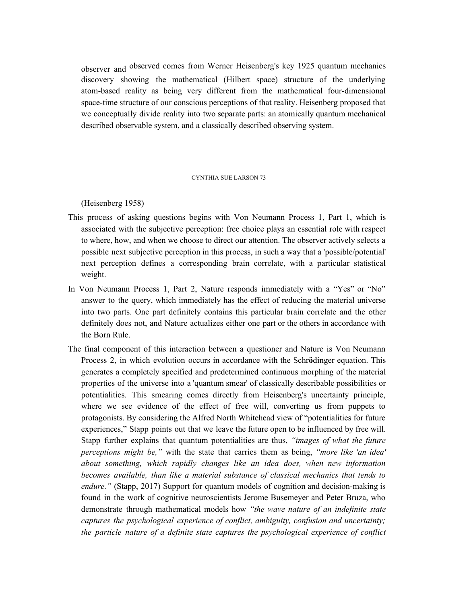observer and observed comes from Werner Heisenberg's key 1925 quantum mechanics discovery showing the mathematical (Hilbert space) structure of the underlying atom-based reality as being very different from the mathematical four-dimensional space-time structure of our conscious perceptions of that reality. Heisenberg proposed that we conceptually divide reality into two separate parts: an atomically quantum mechanical described observable system, and a classically described observing system.

#### CYNTHIA SUE LARSON 73

(Heisenberg 1958)

- This process of asking questions begins with Von Neumann Process 1, Part 1, which is associated with the subjective perception: free choice plays an essential role with respect to where, how, and when we choose to direct our attention. The observer actively selects a possible next subjective perception in this process, in such a way that a 'possible/potential' next perception defines a corresponding brain correlate, with a particular statistical weight.
- In Von Neumann Process 1, Part 2, Nature responds immediately with a "Yes" or "No" answer to the query, which immediately has the effect of reducing the material universe into two parts. One part definitely contains this particular brain correlate and the other definitely does not, and Nature actualizes either one part or the others in accordance with the Born Rule.
- The final component of this interaction between a questioner and Nature is Von Neumann Process 2, in which evolution occurs in accordance with the Schr**ö**dinger equation. This generates a completely specified and predetermined continuous morphing of the material properties of the universe into a 'quantum smear' of classically describable possibilities or potentialities. This smearing comes directly from Heisenberg's uncertainty principle, where we see evidence of the effect of free will, converting us from puppets to protagonists. By considering the Alfred North Whitehead view of "potentialities for future experiences," Stapp points out that we leave the future open to be influenced by free will. Stapp further explains that quantum potentialities are thus, *"images of what the future perceptions might be,"* with the state that carries them as being, *"more like 'an idea' about something, which rapidly changes like an idea does, when new information becomes available, than like a material substance of classical mechanics that tends to endure."* (Stapp, 2017) Support for quantum models of cognition and decision-making is found in the work of cognitive neuroscientists Jerome Busemeyer and Peter Bruza, who demonstrate through mathematical models how *"the wave nature of an indefinite state captures the psychological experience of conflict, ambiguity, confusion and uncertainty; the particle nature of a definite state captures the psychological experience of conflict*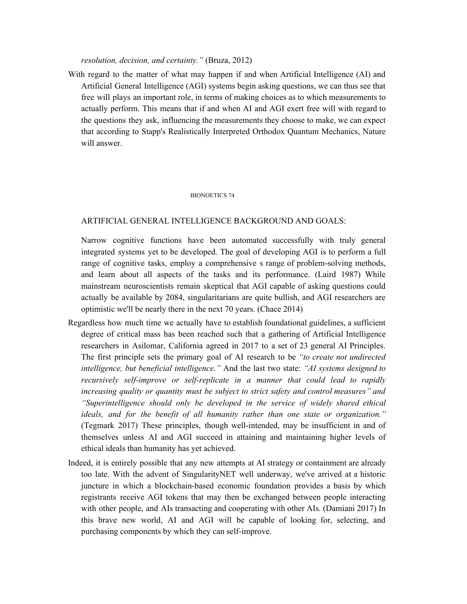## *resolution, decision, and certainty."* (Bruza, 2012)

With regard to the matter of what may happen if and when Artificial Intelligence (AI) and Artificial General Intelligence (AGI) systems begin asking questions, we can thus see that free will plays an important role, in terms of making choices as to which measurements to actually perform. This means that if and when AI and AGI exert free will with regard to the questions they ask, influencing the measurements they choose to make, we can expect that according to Stapp's Realistically Interpreted Orthodox Quantum Mechanics, Nature will answer.

#### BIONOETICS 74

## ARTIFICIAL GENERAL INTELLIGENCE BACKGROUND AND GOALS:

Narrow cognitive functions have been automated successfully with truly general integrated systems yet to be developed. The goal of developing AGI is to perform a full range of cognitive tasks, employ a comprehensive s range of problem-solving methods, and learn about all aspects of the tasks and its performance. (Laird 1987) While mainstream neuroscientists remain skeptical that AGI capable of asking questions could actually be available by 2084, singularitarians are quite bullish, and AGI researchers are optimistic we'll be nearly there in the next 70 years. (Chace 2014)

- Regardless how much time we actually have to establish foundational guidelines, a sufficient degree of critical mass has been reached such that a gathering of Artificial Intelligence researchers in Asilomar, California agreed in 2017 to a set of 23 general AI Principles. The first principle sets the primary goal of AI research to be *"to create not undirected intelligence, but beneficial intelligence."* And the last two state: *"AI systems designed to recursively self-improve or self-replicate in a manner that could lead to rapidly increasing quality or quantity must be subject to strict safety and control measures" and "Superintelligence should only be developed in the service of widely shared ethical ideals, and for the benefit of all humanity rather than one state or organization."* (Tegmark 2017) These principles, though well-intended, may be insufficient in and of themselves unless AI and AGI succeed in attaining and maintaining higher levels of ethical ideals than humanity has yet achieved.
- Indeed, it is entirely possible that any new attempts at AI strategy or containment are already too late. With the advent of SingularityNET well underway, we've arrived at a historic juncture in which a blockchain-based economic foundation provides a basis by which registrants receive AGI tokens that may then be exchanged between people interacting with other people, and AIs transacting and cooperating with other AIs. (Damiani 2017) In this brave new world, AI and AGI will be capable of looking for, selecting, and purchasing components by which they can self-improve.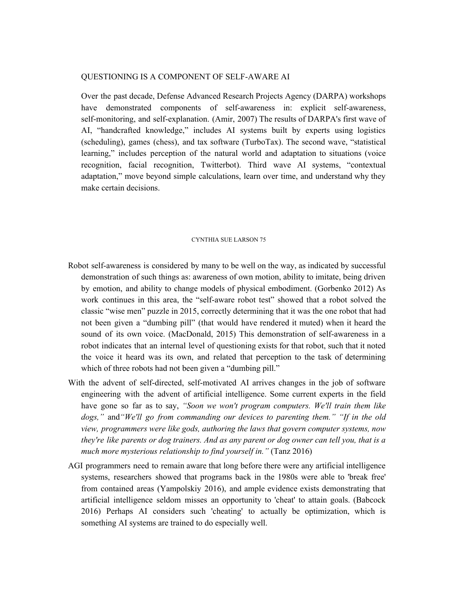#### QUESTIONING IS A COMPONENT OF SELF-AWARE AI

Over the past decade, Defense Advanced Research Projects Agency (DARPA) workshops have demonstrated components of self-awareness in: explicit self-awareness, self-monitoring, and self-explanation. (Amir, 2007) The results of DARPA's first wave of AI, "handcrafted knowledge," includes AI systems built by experts using logistics (scheduling), games (chess), and tax software (TurboTax). The second wave, "statistical learning," includes perception of the natural world and adaptation to situations (voice recognition, facial recognition, Twitterbot). Third wave AI systems, "contextual adaptation," move beyond simple calculations, learn over time, and understand why they make certain decisions.

#### CYNTHIA SUE LARSON 75

- Robot self-awareness is considered by many to be well on the way, as indicated by successful demonstration of such things as: awareness of own motion, ability to imitate, being driven by emotion, and ability to change models of physical embodiment. (Gorbenko 2012) As work continues in this area, the "self-aware robot test" showed that a robot solved the classic "wise men" puzzle in 2015, correctly determining that it was the one robot that had not been given a "dumbing pill" (that would have rendered it muted) when it heard the sound of its own voice. (MacDonald, 2015) This demonstration of self-awareness in a robot indicates that an internal level of questioning exists for that robot, such that it noted the voice it heard was its own, and related that perception to the task of determining which of three robots had not been given a "dumbing pill."
- With the advent of self-directed, self-motivated AI arrives changes in the job of software engineering with the advent of artificial intelligence. Some current experts in the field have gone so far as to say, *"Soon we won't program computers. We'll train them like dogs,"* and*"We'll go from commanding our devices to parenting them." "If in the old view, programmers were like gods, authoring the laws that govern computer systems, now* they're like parents or dog trainers. And as any parent or dog owner can tell you, that is a *much more mysterious relationship to find yourself in."* (Tanz 2016)
- AGI programmers need to remain aware that long before there were any artificial intelligence systems, researchers showed that programs back in the 1980s were able to 'break free' from contained areas (Yampolskiy 2016), and ample evidence exists demonstrating that artificial intelligence seldom misses an opportunity to 'cheat' to attain goals. (Babcock 2016) Perhaps AI considers such 'cheating' to actually be optimization, which is something AI systems are trained to do especially well.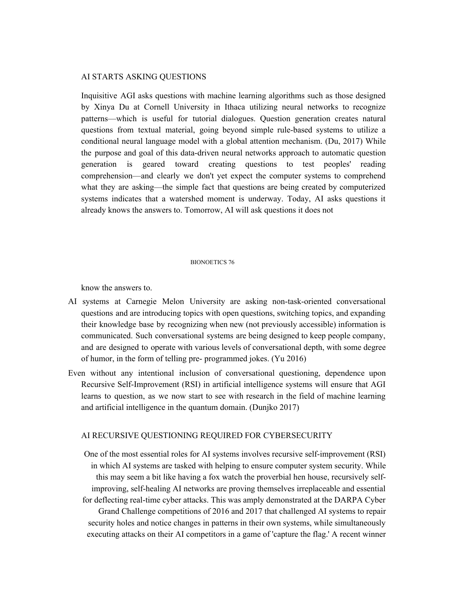#### AI STARTS ASKING QUESTIONS

Inquisitive AGI asks questions with machine learning algorithms such as those designed by Xinya Du at Cornell University in Ithaca utilizing neural networks to recognize patterns—which is useful for tutorial dialogues. Question generation creates natural questions from textual material, going beyond simple rule-based systems to utilize a conditional neural language model with a global attention mechanism. (Du, 2017) While the purpose and goal of this data-driven neural networks approach to automatic question generation is geared toward creating questions to test peoples' reading comprehension—and clearly we don't yet expect the computer systems to comprehend what they are asking—the simple fact that questions are being created by computerized systems indicates that a watershed moment is underway. Today, AI asks questions it already knows the answers to. Tomorrow, AI will ask questions it does not

#### BIONOETICS 76

know the answers to.

- AI systems at Carnegie Melon University are asking non-task-oriented conversational questions and are introducing topics with open questions, switching topics, and expanding their knowledge base by recognizing when new (not previously accessible) information is communicated. Such conversational systems are being designed to keep people company, and are designed to operate with various levels of conversational depth, with some degree of humor, in the form of telling pre- programmed jokes. (Yu 2016)
- Even without any intentional inclusion of conversational questioning, dependence upon Recursive Self-Improvement (RSI) in artificial intelligence systems will ensure that AGI learns to question, as we now start to see with research in the field of machine learning and artificial intelligence in the quantum domain. (Dunjko 2017)

#### AI RECURSIVE QUESTIONING REQUIRED FOR CYBERSECURITY

One of the most essential roles for AI systems involves recursive self-improvement (RSI) in which AI systems are tasked with helping to ensure computer system security. While this may seem a bit like having a fox watch the proverbial hen house, recursively selfimproving, self-healing AI networks are proving themselves irreplaceable and essential for deflecting real-time cyber attacks. This was amply demonstrated at the DARPA Cyber Grand Challenge competitions of 2016 and 2017 that challenged AI systems to repair security holes and notice changes in patterns in their own systems, while simultaneously executing attacks on their AI competitors in a game of 'capture the flag.' A recent winner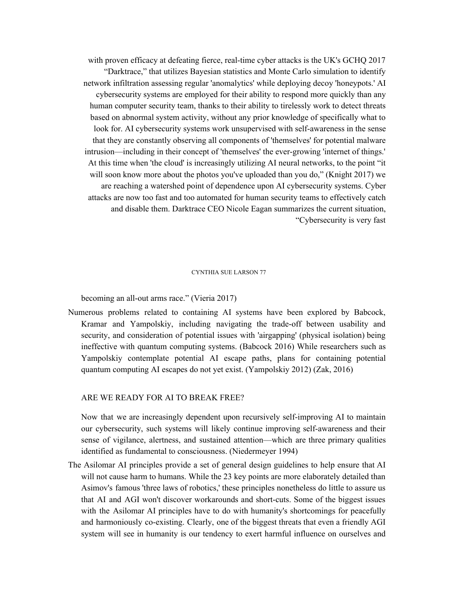with proven efficacy at defeating fierce, real-time cyber attacks is the UK's GCHQ 2017 "Darktrace," that utilizes Bayesian statistics and Monte Carlo simulation to identify network infiltration assessing regular 'anomalytics' while deploying decoy 'honeypots.' AI cybersecurity systems are employed for their ability to respond more quickly than any human computer security team, thanks to their ability to tirelessly work to detect threats based on abnormal system activity, without any prior knowledge of specifically what to look for. AI cybersecurity systems work unsupervised with self-awareness in the sense that they are constantly observing all components of 'themselves' for potential malware intrusion—including in their concept of 'themselves' the ever-growing 'internet of things.' At this time when 'the cloud' is increasingly utilizing AI neural networks, to the point "it will soon know more about the photos you've uploaded than you do," (Knight 2017) we are reaching a watershed point of dependence upon AI cybersecurity systems. Cyber attacks are now too fast and too automated for human security teams to effectively catch and disable them. Darktrace CEO Nicole Eagan summarizes the current situation, "Cybersecurity is very fast

#### CYNTHIA SUE LARSON 77

becoming an all-out arms race." (Vieria 2017)

Numerous problems related to containing AI systems have been explored by Babcock, Kramar and Yampolskiy, including navigating the trade-off between usability and security, and consideration of potential issues with 'airgapping' (physical isolation) being ineffective with quantum computing systems. (Babcock 2016) While researchers such as Yampolskiy contemplate potential AI escape paths, plans for containing potential quantum computing AI escapes do not yet exist. (Yampolskiy 2012) (Zak, 2016)

#### ARE WE READY FOR AI TO BREAK FREE?

Now that we are increasingly dependent upon recursively self-improving AI to maintain our cybersecurity, such systems will likely continue improving self-awareness and their sense of vigilance, alertness, and sustained attention—which are three primary qualities identified as fundamental to consciousness. (Niedermeyer 1994)

The Asilomar AI principles provide a set of general design guidelines to help ensure that AI will not cause harm to humans. While the 23 key points are more elaborately detailed than Asimov's famous 'three laws of robotics,' these principles nonetheless do little to assure us that AI and AGI won't discover workarounds and short-cuts. Some of the biggest issues with the Asilomar AI principles have to do with humanity's shortcomings for peacefully and harmoniously co-existing. Clearly, one of the biggest threats that even a friendly AGI system will see in humanity is our tendency to exert harmful influence on ourselves and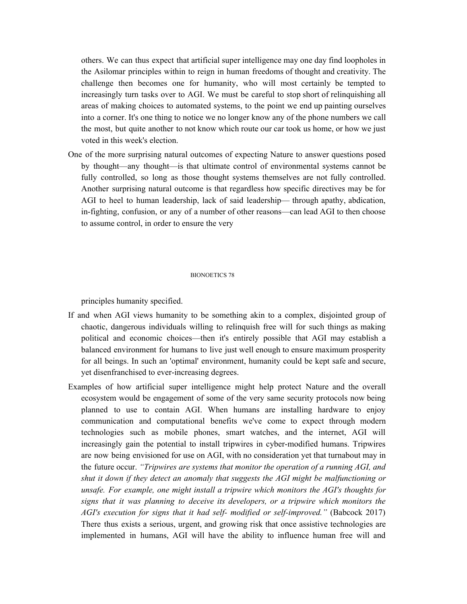others. We can thus expect that artificial super intelligence may one day find loopholes in the Asilomar principles within to reign in human freedoms of thought and creativity. The challenge then becomes one for humanity, who will most certainly be tempted to increasingly turn tasks over to AGI. We must be careful to stop short of relinquishing all areas of making choices to automated systems, to the point we end up painting ourselves into a corner. It's one thing to notice we no longer know any of the phone numbers we call the most, but quite another to not know which route our car took us home, or how we just voted in this week's election.

One of the more surprising natural outcomes of expecting Nature to answer questions posed by thought—any thought—is that ultimate control of environmental systems cannot be fully controlled, so long as those thought systems themselves are not fully controlled. Another surprising natural outcome is that regardless how specific directives may be for AGI to heel to human leadership, lack of said leadership— through apathy, abdication, in-fighting, confusion, or any of a number of other reasons—can lead AGI to then choose to assume control, in order to ensure the very

#### BIONOETICS 78

principles humanity specified.

- If and when AGI views humanity to be something akin to a complex, disjointed group of chaotic, dangerous individuals willing to relinquish free will for such things as making political and economic choices—then it's entirely possible that AGI may establish a balanced environment for humans to live just well enough to ensure maximum prosperity for all beings. In such an 'optimal' environment, humanity could be kept safe and secure, yet disenfranchised to ever-increasing degrees.
- Examples of how artificial super intelligence might help protect Nature and the overall ecosystem would be engagement of some of the very same security protocols now being planned to use to contain AGI. When humans are installing hardware to enjoy communication and computational benefits we've come to expect through modern technologies such as mobile phones, smart watches, and the internet, AGI will increasingly gain the potential to install tripwires in cyber-modified humans. Tripwires are now being envisioned for use on AGI, with no consideration yet that turnabout may in the future occur. *"Tripwires are systems that monitor the operation of a running AGI, and shut it down if they detect an anomaly that suggests the AGI might be malfunctioning or unsafe. For example, one might install a tripwire which monitors the AGI's thoughts for signs that it was planning to deceive its developers, or a tripwire which monitors the AGI's execution for signs that it had self- modified or self-improved."* (Babcock 2017) There thus exists a serious, urgent, and growing risk that once assistive technologies are implemented in humans, AGI will have the ability to influence human free will and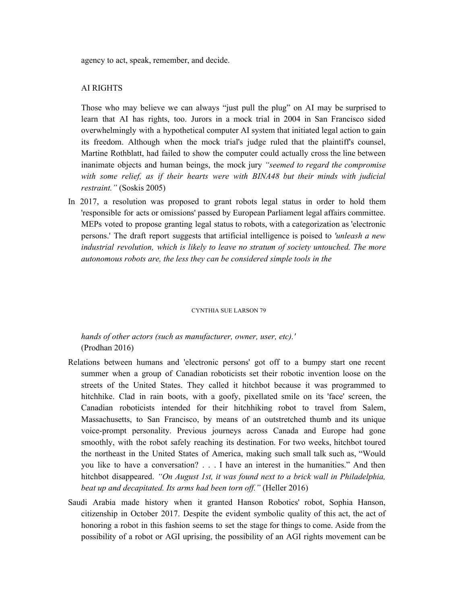agency to act, speak, remember, and decide.

## AI RIGHTS

Those who may believe we can always "just pull the plug" on AI may be surprised to learn that AI has rights, too. Jurors in a mock trial in 2004 in San Francisco sided overwhelmingly with a hypothetical computer AI system that initiated legal action to gain its freedom. Although when the mock trial's judge ruled that the plaintiff's counsel, Martine Rothblatt, had failed to show the computer could actually cross the line between inanimate objects and human beings, the mock jury *"seemed to regard the compromise with some relief, as if their hearts were with BINA48 but their minds with judicial restraint."* (Soskis 2005)

In 2017, a resolution was proposed to grant robots legal status in order to hold them 'responsible for acts or omissions' passed by European Parliament legal affairs committee. MEPs voted to propose granting legal status to robots, with a categorization as 'electronic persons.' The draft report suggests that artificial intelligence is poised to *'unleash a new industrial revolution, which is likely to leave no stratum of society untouched. The more autonomous robots are, the less they can be considered simple tools in the*

#### CYNTHIA SUE LARSON 79

*hands of other actors (such as manufacturer, owner, user, etc).'* (Prodhan 2016)

- Relations between humans and 'electronic persons' got off to a bumpy start one recent summer when a group of Canadian roboticists set their robotic invention loose on the streets of the United States. They called it hitchbot because it was programmed to hitchhike. Clad in rain boots, with a goofy, pixellated smile on its 'face' screen, the Canadian roboticists intended for their hitchhiking robot to travel from Salem, Massachusetts, to San Francisco, by means of an outstretched thumb and its unique voice-prompt personality. Previous journeys across Canada and Europe had gone smoothly, with the robot safely reaching its destination. For two weeks, hitchbot toured the northeast in the United States of America, making such small talk such as, "Would you like to have a conversation? . . . I have an interest in the humanities." And then hitchbot disappeared. *"On August 1st, it was found next to a brick wall in Philadelphia, beat up and decapitated. Its arms had been torn of ."* (Heller 2016)
- Saudi Arabia made history when it granted Hanson Robotics' robot, Sophia Hanson, citizenship in October 2017. Despite the evident symbolic quality of this act, the act of honoring a robot in this fashion seems to set the stage for things to come. Aside from the possibility of a robot or AGI uprising, the possibility of an AGI rights movement can be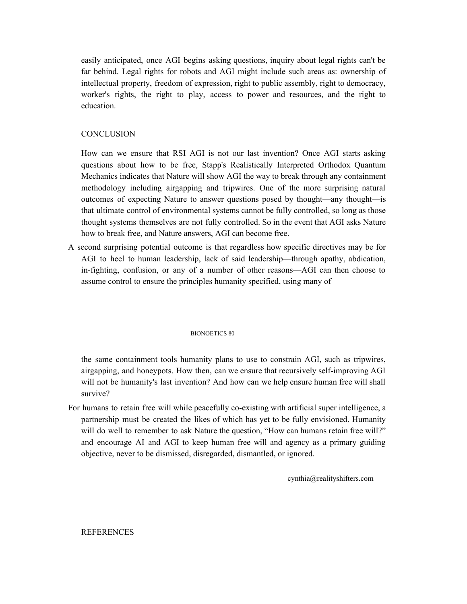easily anticipated, once AGI begins asking questions, inquiry about legal rights can't be far behind. Legal rights for robots and AGI might include such areas as: ownership of intellectual property, freedom of expression, right to public assembly, right to democracy, worker's rights, the right to play, access to power and resources, and the right to education.

# **CONCLUSION**

How can we ensure that RSI AGI is not our last invention? Once AGI starts asking questions about how to be free, Stapp's Realistically Interpreted Orthodox Quantum Mechanics indicates that Nature will show AGI the way to break through any containment methodology including airgapping and tripwires. One of the more surprising natural outcomes of expecting Nature to answer questions posed by thought—any thought—is that ultimate control of environmental systems cannot be fully controlled, so long as those thought systems themselves are not fully controlled. So in the event that AGI asks Nature how to break free, and Nature answers, AGI can become free.

A second surprising potential outcome is that regardless how specific directives may be for AGI to heel to human leadership, lack of said leadership—through apathy, abdication, in-fighting, confusion, or any of a number of other reasons—AGI can then choose to assume control to ensure the principles humanity specified, using many of

#### BIONOETICS 80

the same containment tools humanity plans to use to constrain AGI, such as tripwires, airgapping, and honeypots. How then, can we ensure that recursively self-improving AGI will not be humanity's last invention? And how can we help ensure human free will shall survive?

For humans to retain free will while peacefully co-existing with artificial super intelligence, a partnership must be created the likes of which has yet to be fully envisioned. Humanity will do well to remember to ask Nature the question, "How can humans retain free will?" and encourage AI and AGI to keep human free will and agency as a primary guiding objective, never to be dismissed, disregarded, dismantled, or ignored.

cynthia@realityshifters.com

## REFERENCES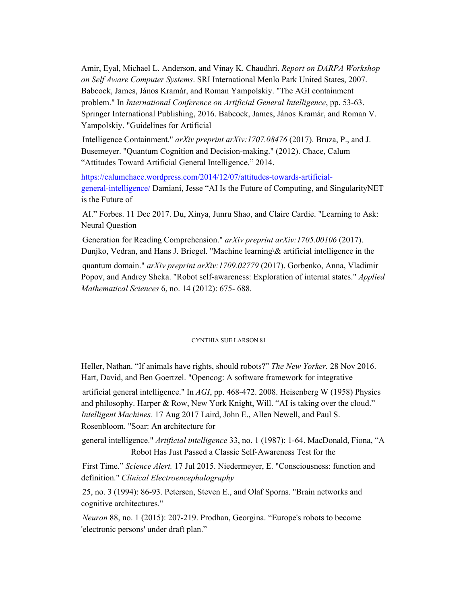Amir, Eyal, Michael L. Anderson, and Vinay K. Chaudhri. *Report on DARPA Workshop on Self Aware Computer Systems*. SRI International Menlo Park United States, 2007. Babcock, James, János Kramár, and Roman Yampolskiy. "The AGI containment problem." In *International Conference on Artificial General Intelligence*, pp. 53-63. Springer International Publishing, 2016. Babcock, James, János Kramár, and Roman V. Yampolskiy. "Guidelines for Artificial

Intelligence Containment." *arXiv preprint arXiv:1707.08476* (2017). Bruza, P., and J. Busemeyer. "Quantum Cognition and Decision-making." (2012). Chace, Calum "Attitudes Toward Artificial General Intelligence." 2014.

https://calumchace.wordpress.com/2014/12/07/attitudes-towards-artificialgeneral-intelligence/ Damiani, Jesse "AI Is the Future of Computing, and SingularityNET is the Future of

AI." Forbes. 11 Dec 2017. Du, Xinya, Junru Shao, and Claire Cardie. "Learning to Ask: Neural Question

Generation for Reading Comprehension." *arXiv preprint arXiv:1705.00106* (2017). Dunjko, Vedran, and Hans J. Briegel. "Machine learning\& artificial intelligence in the

quantum domain." *arXiv preprint arXiv:1709.02779* (2017). Gorbenko, Anna, Vladimir Popov, and Andrey Sheka. "Robot self-awareness: Exploration of internal states." *Applied Mathematical Sciences* 6, no. 14 (2012): 675- 688.

### CYNTHIA SUE LARSON 81

Heller, Nathan. "If animals have rights, should robots?" *The New Yorker.* 28 Nov 2016. Hart, David, and Ben Goertzel. "Opencog: A software framework for integrative

artificial general intelligence." In *AGI*, pp. 468-472. 2008. Heisenberg W (1958) Physics and philosophy. Harper & Row, New York Knight, Will. "AI is taking over the cloud." *Intelligent Machines.* 17 Aug 2017 Laird, John E., Allen Newell, and Paul S. Rosenbloom. "Soar: An architecture for

general intelligence." *Artificial intelligence* 33, no. 1 (1987): 1-64. MacDonald, Fiona, "A Robot Has Just Passed a Classic Self-Awareness Test for the

First Time." *Science Alert.* 17 Jul 2015. Niedermeyer, E. "Consciousness: function and definition." *Clinical Electroencephalography*

25, no. 3 (1994): 86-93. Petersen, Steven E., and Olaf Sporns. "Brain networks and cognitive architectures."

*Neuron* 88, no. 1 (2015): 207-219. Prodhan, Georgina. "Europe's robots to become 'electronic persons' under draft plan."